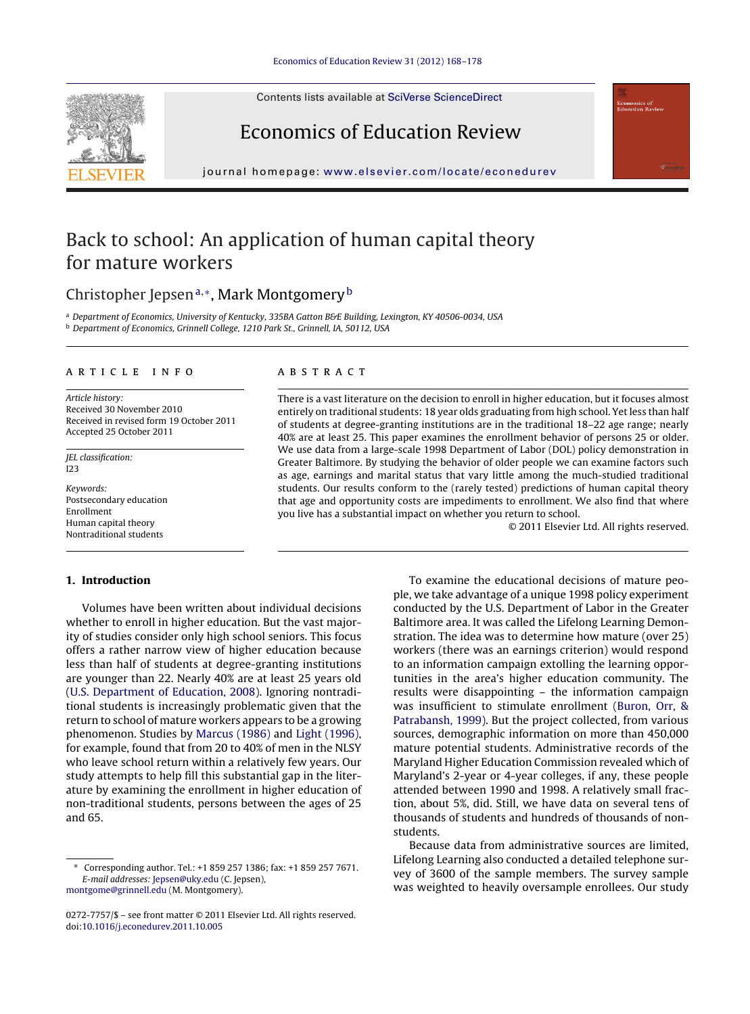Contents lists available at SciVerse [ScienceDirect](http://www.sciencedirect.com/science/journal/02727757)



Economics of Education Review

journal homepage: [www.elsevier.com/locate/econedurev](http://www.elsevier.com/locate/econedurev)

## Back to school: An application of human capital theory for mature workers

### Christopher Jepsen<sup>a,∗</sup>, Mark Montgomery<sup>b</sup>

a Department of Economics, University of Kentucky, 335BA Gatton B&E Building, Lexington, KY 40506-0034, USA <sup>b</sup> Department of Economics, Grinnell College, 1210 Park St., Grinnell, IA, 50112, USA

#### a r t i c l e i n f o

Article history: Received 30 November 2010 Received in revised form 19 October 2011 Accepted 25 October 2011

JEL classification:  $123$ 

Keywords: Postsecondary education Enrollment Human capital theory Nontraditional students

#### **1. Introduction**

Volumes have been written about individual decisions whether to enroll in higher education. But the vast majority of studies consider only high school seniors. This focus offers a rather narrow view of higher education because less than half of students at degree-granting institutions are younger than 22. Nearly 40% are at least 25 years old [\(U.S.](#page--1-0) [Department](#page--1-0) [of](#page--1-0) [Education,](#page--1-0) [2008\).](#page--1-0) Ignoring nontraditional students is increasingly problematic given that the return to school of mature workers appears to be a growing phenomenon. Studies by [Marcus](#page--1-0) [\(1986\)](#page--1-0) and [Light](#page--1-0) [\(1996\),](#page--1-0) for example, found that from 20 to 40% of men in the NLSY who leave school return within a relatively few years. Our study attempts to help fill this substantial gap in the literature by examining the enrollment in higher education of non-traditional students, persons between the ages of 25 and 65.

[montgome@grinnell.edu](mailto:montgome@grinnell.edu) (M. Montgomery).

#### A B S T R A C T

There is a vast literature on the decision to enroll in higher education, but it focuses almost entirely on traditional students: 18 year olds graduating from high school. Yet less than half of students at degree-granting institutions are in the traditional 18–22 age range; nearly 40% are at least 25. This paper examines the enrollment behavior of persons 25 or older. We use data from a large-scale 1998 Department of Labor (DOL) policy demonstration in Greater Baltimore. By studying the behavior of older people we can examine factors such as age, earnings and marital status that vary little among the much-studied traditional students. Our results conform to the (rarely tested) predictions of human capital theory that age and opportunity costs are impediments to enrollment. We also find that where you live has a substantial impact on whether you return to school.

© 2011 Elsevier Ltd. All rights reserved.

To examine the educational decisions of mature people, we take advantage of a unique 1998 policy experiment conducted by the U.S. Department of Labor in the Greater Baltimore area. It was called the Lifelong Learning Demonstration. The idea was to determine how mature (over 25) workers (there was an earnings criterion) would respond to an information campaign extolling the learning opportunities in the area's higher education community. The results were disappointing – the information campaign was insufficient to stimulate enrollment ([Buron,](#page--1-0) [Orr,](#page--1-0) [&](#page--1-0) [Patrabansh,](#page--1-0) [1999\).](#page--1-0) But the project collected, from various sources, demographic information on more than 450,000 mature potential students. Administrative records of the Maryland Higher Education Commission revealed which of Maryland's 2-year or 4-year colleges, if any, these people attended between 1990 and 1998. A relatively small fraction, about 5%, did. Still, we have data on several tens of thousands of students and hundreds of thousands of nonstudents.

Because data from administrative sources are limited, Lifelong Learning also conducted a detailed telephone survey of 3600 of the sample members. The survey sample was weighted to heavily oversample enrollees. Our study

<sup>∗</sup> Corresponding author. Tel.: +1 859 257 1386; fax: +1 859 257 7671. E-mail addresses: [Jepsen@uky.edu](mailto:Jepsen@uky.edu) (C. Jepsen),

<sup>0272-7757/\$</sup> – see front matter © 2011 Elsevier Ltd. All rights reserved. doi:[10.1016/j.econedurev.2011.10.005](dx.doi.org/10.1016/j.econedurev.2011.10.005)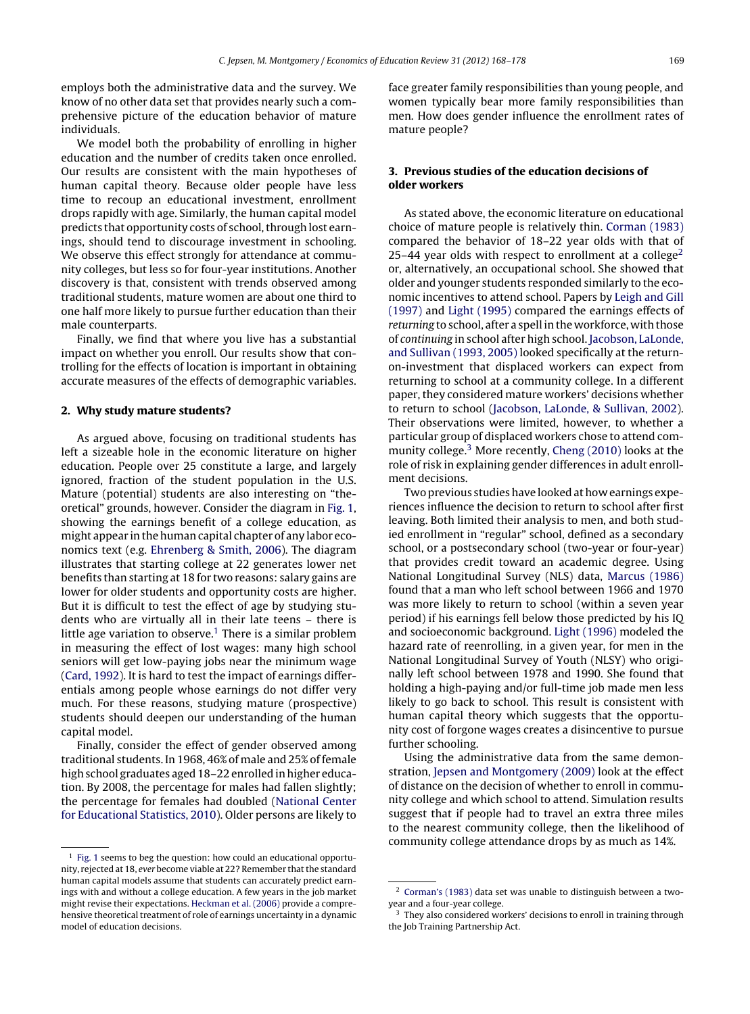employs both the administrative data and the survey. We know of no other data set that provides nearly such a comprehensive picture of the education behavior of mature individuals.

We model both the probability of enrolling in higher education and the number of credits taken once enrolled. Our results are consistent with the main hypotheses of human capital theory. Because older people have less time to recoup an educational investment, enrollment drops rapidly with age. Similarly, the human capital model predicts that opportunity costs of school, through lost earnings, should tend to discourage investment in schooling. We observe this effect strongly for attendance at community colleges, but less so for four-year institutions. Another discovery is that, consistent with trends observed among traditional students, mature women are about one third to one half more likely to pursue further education than their male counterparts.

Finally, we find that where you live has a substantial impact on whether you enroll. Our results show that controlling for the effects of location is important in obtaining accurate measures of the effects of demographic variables.

#### **2. Why study mature students?**

As argued above, focusing on traditional students has left a sizeable hole in the economic literature on higher education. People over 25 constitute a large, and largely ignored, fraction of the student population in the U.S. Mature (potential) students are also interesting on "theoretical" grounds, however. Consider the diagram in [Fig.](#page--1-0) 1, showing the earnings benefit of a college education, as might appear in the human capital chapter of any labor economics text (e.g. [Ehrenberg](#page--1-0) [&](#page--1-0) [Smith,](#page--1-0) [2006\).](#page--1-0) The diagram illustrates that starting college at 22 generates lower net benefits than starting at 18 for two reasons: salary gains are lower for older students and opportunity costs are higher. But it is difficult to test the effect of age by studying students who are virtually all in their late teens – there is little age variation to observe.<sup>1</sup> There is a similar problem in measuring the effect of lost wages: many high school seniors will get low-paying jobs near the minimum wage [\(Card,](#page--1-0) [1992\).](#page--1-0) It is hard to test the impact of earnings differentials among people whose earnings do not differ very much. For these reasons, studying mature (prospective) students should deepen our understanding of the human capital model.

Finally, consider the effect of gender observed among traditional students. In 1968, 46% of male and 25% of female high school graduates aged 18-22 enrolled in higher education. By 2008, the percentage for males had fallen slightly; the percentage for females had doubled ([National](#page--1-0) [Center](#page--1-0) [for](#page--1-0) [Educational](#page--1-0) [Statistics,](#page--1-0) [2010\).](#page--1-0) Older persons are likely to

face greater family responsibilities than young people, and women typically bear more family responsibilities than men. How does gender influence the enrollment rates of mature people?

#### **3. Previous studies of the education decisions of older workers**

As stated above, the economic literature on educational choice of mature people is relatively thin. [Corman](#page--1-0) [\(1983\)](#page--1-0) compared the behavior of 18–22 year olds with that of 25–44 year olds with respect to enrollment at a college<sup>2</sup> or, alternatively, an occupational school. She showed that older and younger students responded similarly to the economic incentives to attend school. Papers by [Leigh](#page--1-0) [and](#page--1-0) [Gill](#page--1-0) [\(1997\)](#page--1-0) and [Light](#page--1-0) [\(1995\)](#page--1-0) compared the earnings effects of returning to school, after a spell in the workforce, with those of continuing in school after high school. [Jacobson,](#page--1-0) [LaLonde,](#page--1-0) [and](#page--1-0) [Sullivan](#page--1-0) [\(1993,](#page--1-0) [2005\)](#page--1-0) looked specifically at the returnon-investment that displaced workers can expect from returning to school at a community college. In a different paper, they considered mature workers' decisions whether to return to school ([Jacobson,](#page--1-0) [LaLonde,](#page--1-0) [&](#page--1-0) [Sullivan,](#page--1-0) [2002\).](#page--1-0) Their observations were limited, however, to whether a particular group of displaced workers chose to attend com-munity college.<sup>3</sup> More recently, [Cheng](#page--1-0) [\(2010\)](#page--1-0) looks at the role of risk in explaining gender differences in adult enrollment decisions.

Two previous studies have looked at how earnings experiences influence the decision to return to school after first leaving. Both limited their analysis to men, and both studied enrollment in "regular" school, defined as a secondary school, or a postsecondary school (two-year or four-year) that provides credit toward an academic degree. Using National Longitudinal Survey (NLS) data, [Marcus](#page--1-0) [\(1986\)](#page--1-0) found that a man who left school between 1966 and 1970 was more likely to return to school (within a seven year period) if his earnings fell below those predicted by his IQ and socioeconomic background. [Light](#page--1-0) [\(1996\)](#page--1-0) modeled the hazard rate of reenrolling, in a given year, for men in the National Longitudinal Survey of Youth (NLSY) who originally left school between 1978 and 1990. She found that holding a high-paying and/or full-time job made men less likely to go back to school. This result is consistent with human capital theory which suggests that the opportunity cost of forgone wages creates a disincentive to pursue further schooling.

Using the administrative data from the same demonstration, [Jepsen](#page--1-0) [and](#page--1-0) [Montgomery](#page--1-0) [\(2009\)](#page--1-0) look at the effect of distance on the decision of whether to enroll in community college and which school to attend. Simulation results suggest that if people had to travel an extra three miles to the nearest community college, then the likelihood of community college attendance drops by as much as 14%.

 $1$  [Fig.](#page--1-0) 1 seems to beg the question: how could an educational opportunity, rejected at 18, ever become viable at 22? Remember that the standard human capital models assume that students can accurately predict earnings with and without a college education. A few years in the job market might revise their expectations. [Heckman](#page--1-0) et [al.](#page--1-0) [\(2006\)](#page--1-0) provide a comprehensive theoretical treatment of role of earnings uncertainty in a dynamic model of education decisions.

<sup>2</sup> [Corman's](#page--1-0) [\(1983\)](#page--1-0) data set was unable to distinguish between a twoyear and a four-year college.

<sup>&</sup>lt;sup>3</sup> They also considered workers' decisions to enroll in training through the Job Training Partnership Act.